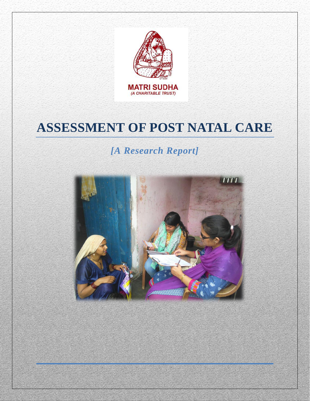

# **ASSESSMENT OF POST NATAL CARE**

## *[A Research Report]*

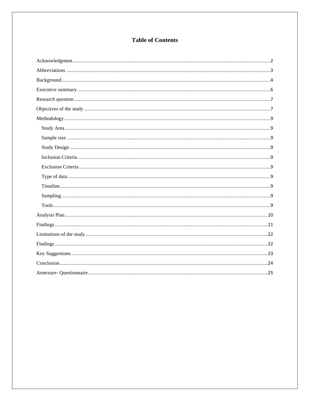## **Table of Contents**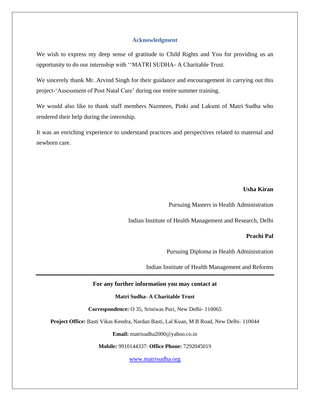#### **Acknowledgment**

<span id="page-2-0"></span>We wish to express my deep sense of gratitude to Child Rights and You for providing us an opportunity to do our internship with ''MATRI SUDHA- A Charitable Trust.

We sincerely thank Mr. Arvind Singh for their guidance and encouragement in carrying out this project-'Assessment of Post Natal Care' during our entire summer training.

We would also like to thank staff members Nazmeen, Pinki and Laksmi of Matri Sudha who rendered their help during the internship.

It was an enriching experience to understand practices and perspectives related to maternal and newborn care.

#### **Usha Kiran**

Pursuing Masters in Health Administration

Indian Institute of Health Management and Research, Delhi

#### **Prachi Pal**

Pursuing Diploma in Health Administration

Indian Institute of Health Management and Reforms

#### **For any further information you may contact at**

**Matri Sudha- A Charitable Trust**

**Correspondence:** O 35, Sriniwas Puri, New Delhi- 110065

**Project Office:** Basti Vikas Kendra, Nardan Basti, Lal Kuan, M B Road, New Delhi- 110044

**Email:** matrisudha2000@yahoo.co.in

**Mobile:** 9910144337: **Office Phone:** 7292045019

[www.matrisudha.org](http://www.matrisudha.org/)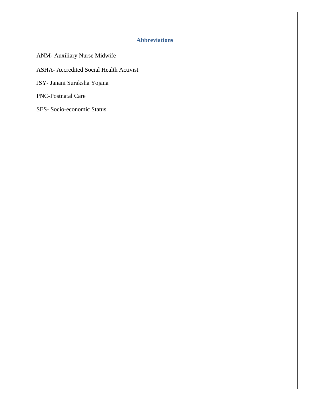## **Abbreviations**

<span id="page-3-0"></span>ANM- Auxiliary Nurse Midwife ASHA- Accredited Social Health Activist JSY- Janani Suraksha Yojana PNC-Postnatal Care

SES- Socio-economic Status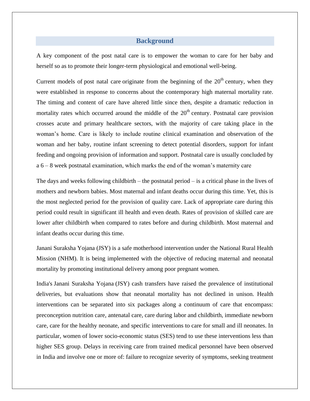#### **Background**

<span id="page-4-0"></span>A key component of the post natal care is to empower the woman to care for her baby and herself so as to promote their longer-term physiological and emotional well-being.

Current models of post natal care originate from the beginning of the  $20<sup>th</sup>$  century, when they were established in response to concerns about the contemporary high maternal mortality rate. The timing and content of care have altered little since then, despite a dramatic reduction in mortality rates which occurred around the middle of the  $20<sup>th</sup>$  century. Postnatal care provision crosses acute and primary healthcare sectors, with the majority of care taking place in the woman's home. Care is likely to include routine clinical examination and observation of the woman and her baby, routine infant screening to detect potential disorders, support for infant feeding and ongoing provision of information and support. Postnatal care is usually concluded by a 6 – 8 week postnatal examination, which marks the end of the woman's maternity care

The days and weeks following childbirth – the postnatal period – is a critical phase in the lives of mothers and newborn babies. Most maternal and infant deaths occur during this time. Yet, this is the most neglected period for the provision of quality care. Lack of appropriate care during this period could result in significant ill health and even death. Rates of provision of skilled care are lower after childbirth when compared to rates before and during childbirth. Most maternal and infant deaths occur during this time.

Janani Suraksha Yojana (JSY) is a safe motherhood intervention under the National Rural Health Mission (NHM). It is being implemented with the objective of reducing maternal and neonatal mortality by promoting institutional delivery among poor pregnant women.

India's Janani Suraksha Yojana (JSY) cash transfers have raised the prevalence of institutional deliveries, but evaluations show that neonatal mortality has not declined in unison. Health interventions can be separated into six packages along a continuum of care that encompass: preconception nutrition care, antenatal care, care during labor and childbirth, immediate newborn care, care for the healthy neonate, and specific interventions to care for small and ill neonates. In particular, women of lower socio-economic status (SES) tend to use these interventions less than higher SES group. Delays in receiving care from trained medical personnel have been observed in India and involve one or more of: failure to recognize severity of symptoms, seeking treatment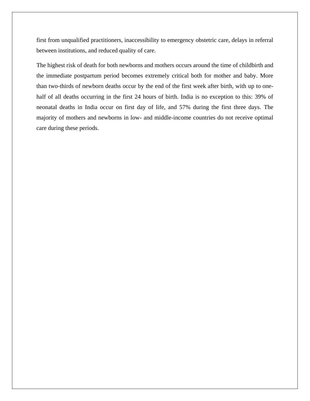first from unqualified practitioners, inaccessibility to emergency obstetric care, delays in referral between institutions, and reduced quality of care.

The highest risk of death for both newborns and mothers occurs around the time of childbirth and the immediate postpartum period becomes extremely critical both for mother and baby. More than two-thirds of newborn deaths occur by the end of the first week after birth, with up to onehalf of all deaths occurring in the first 24 hours of birth. India is no exception to this: 39% of neonatal deaths in India occur on first day of life, and 57% during the first three days. The majority of mothers and newborns in low- and middle-income countries do not receive optimal care during these periods.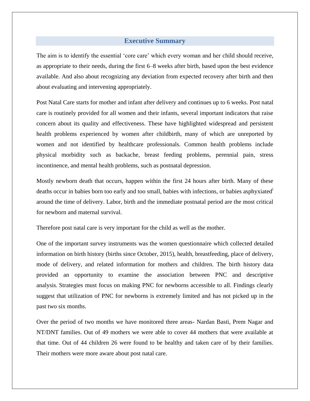#### **Executive Summary**

<span id="page-6-0"></span>The aim is to identify the essential 'core care' which every woman and her child should receive, as appropriate to their needs, during the first 6–8 weeks after birth, based upon the best evidence available. And also about recognizing any deviation from expected recovery after birth and then about evaluating and intervening appropriately.

Post Natal Care starts for mother and infant after delivery and continues up to 6 weeks. Post natal care is routinely provided for all women and their infants, several important indicators that raise concern about its quality and effectiveness. These have highlighted widespread and persistent health problems experienced by women after childbirth, many of which are unreported by women and not identified by healthcare professionals. Common health problems include physical morbidity such as backache, breast feeding problems, perennial pain, stress incontinence, and mental health problems, such as postnatal depression.

Mostly newborn death that occurs, happen within the first 24 hours after birth. Many of these deaths occur in babies born too early and too small, babies with infections, or babies asphyxiated around the time of delivery. Labor, birth and the immediate postnatal period are the most critical for newborn and maternal survival.

Therefore post natal care is very important for the child as well as the mother.

One of the important survey instruments was the women questionnaire which collected detailed information on birth history (births since October, 2015), health, breastfeeding, place of delivery, mode of delivery, and related information for mothers and children. The birth history data provided an opportunity to examine the association between PNC and descriptive analysis. Strategies must focus on making PNC for newborns accessible to all. Findings clearly suggest that utilization of PNC for newborns is extremely limited and has not picked up in the past two six months.

Over the period of two months we have monitored three areas- Nardan Basti, Prem Nagar and NT/DNT families. Out of 49 mothers we were able to cover 44 mothers that were available at that time. Out of 44 children 26 were found to be healthy and taken care of by their families. Their mothers were more aware about post natal care.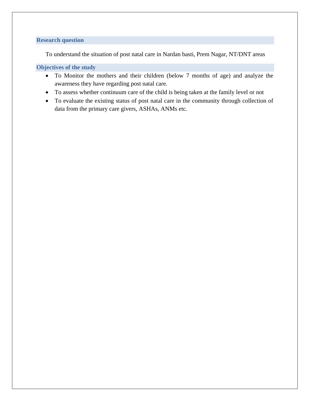#### <span id="page-7-0"></span>**Research question**

To understand the situation of post natal care in Nardan basti, Prem Nagar, NT/DNT areas

#### <span id="page-7-1"></span>**Objectives of the study**

- To Monitor the mothers and their children (below 7 months of age) and analyze the awareness they have regarding post natal care.
- To assess whether continuum care of the child is being taken at the family level or not
- To evaluate the existing status of post natal care in the community through collection of data from the primary care givers, ASHAs, ANMs etc.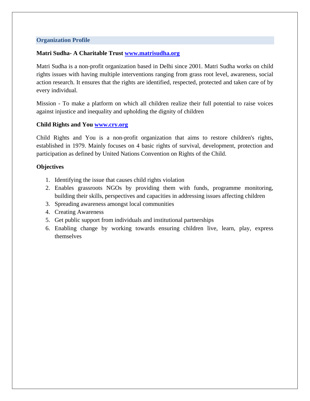#### **Organization Profile**

#### **Matri Sudha- A Charitable Trust [www.matrisudha.org](http://www.matrisudha.org/)**

Matri Sudha is a non-profit organization based in Delhi since 2001. Matri Sudha works on child rights issues with having multiple interventions ranging from grass root level, awareness, social action research. It ensures that the rights are identified, respected, protected and taken care of by every individual.

Mission - To make a platform on which all children realize their full potential to raise voices against injustice and inequality and upholding the dignity of children

#### **Child Rights and You [www.cry.org](http://www.cry.org/)**

Child Rights and You is a non-profit organization that aims to restore children's rights, established in 1979. Mainly focuses on 4 basic rights of survival, development, protection and participation as defined by United Nations Convention on Rights of the Child.

#### **Objectives**

- 1. Identifying the issue that causes child rights violation
- 2. Enables grassroots NGOs by providing them with funds, programme monitoring, building their skills, perspectives and capacities in addressing issues affecting children
- 3. Spreading awareness amongst local communities
- 4. Creating Awareness
- 5. Get public support from individuals and institutional partnerships
- 6. Enabling change by working towards ensuring children live, learn, play, express themselves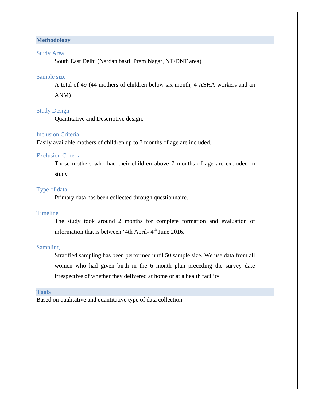#### <span id="page-9-0"></span>**Methodology**

#### <span id="page-9-1"></span>Study Area

South East Delhi (Nardan basti, Prem Nagar, NT/DNT area)

#### <span id="page-9-2"></span>Sample size

A total of 49 (44 mothers of children below six month, 4 ASHA workers and an

ANM)

#### <span id="page-9-3"></span>Study Design

Quantitative and Descriptive design.

#### <span id="page-9-4"></span>Inclusion Criteria

Easily available mothers of children up to 7 months of age are included.

#### <span id="page-9-5"></span>Exclusion Criteria

Those mothers who had their children above 7 months of age are excluded in study

#### <span id="page-9-6"></span>Type of data

Primary data has been collected through questionnaire.

#### <span id="page-9-7"></span>Timeline

The study took around 2 months for complete formation and evaluation of information that is between '4th April- $4<sup>th</sup>$  June 2016.

#### <span id="page-9-8"></span>Sampling

Stratified sampling has been performed until 50 sample size. We use data from all women who had given birth in the 6 month plan preceding the survey date irrespective of whether they delivered at home or at a health facility.

#### <span id="page-9-9"></span>**Tools**

Based on qualitative and quantitative type of data collection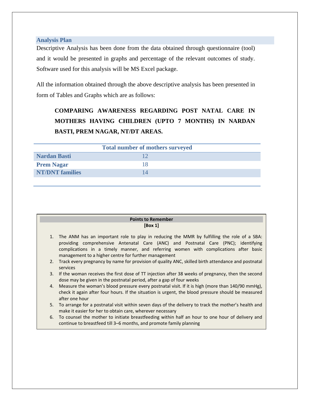#### <span id="page-10-0"></span>**Analysis Plan**

Descriptive Analysis has been done from the data obtained through questionnaire (tool) and it would be presented in graphs and percentage of the relevant outcomes of study. Software used for this analysis will be MS Excel package.

All the information obtained through the above descriptive analysis has been presented in form of Tables and Graphs which are as follows:

## **COMPARING AWARENESS REGARDING POST NATAL CARE IN MOTHERS HAVING CHILDREN (UPTO 7 MONTHS) IN NARDAN BASTI, PREM NAGAR, NT/DT AREAS.**

| <b>Total number of mothers surveyed</b> |  |  |  |  |
|-----------------------------------------|--|--|--|--|
| <b>Nardan Basti</b>                     |  |  |  |  |
| <b>Prem Nagar</b>                       |  |  |  |  |
| <b>NT/DNT</b> families                  |  |  |  |  |
|                                         |  |  |  |  |

| <b>Points to Remember</b>                                                                     |  |  |
|-----------------------------------------------------------------------------------------------|--|--|
| [Box 1]                                                                                       |  |  |
| 1. The ANM has an important role to play in reducing the MMR by fulfilling the role of a SBA: |  |  |

- providing comprehensive Antenatal Care (ANC) and Postnatal Care (PNC); identifying complications in a timely manner, and referring women with complications after basic management to a higher centre for further management
- 2. Track every pregnancy by name for provision of quality ANC, skilled birth attendance and postnatal services
- 3. If the woman receives the first dose of TT injection after 38 weeks of pregnancy, then the second dose may be given in the postnatal period, after a gap of four weeks
- 4. Measure the woman's blood pressure every postnatal visit. If it is high (more than 140/90 mmHg), check it again after four hours. If the situation is urgent, the blood pressure should be measured after one hour
- 5. To arrange for a postnatal visit within seven days of the delivery to track the mother's health and make it easier for her to obtain care, wherever necessary
- 6. To counsel the mother to initiate breastfeeding within half an hour to one hour of delivery and continue to breastfeed till 3–6 months, and promote family planning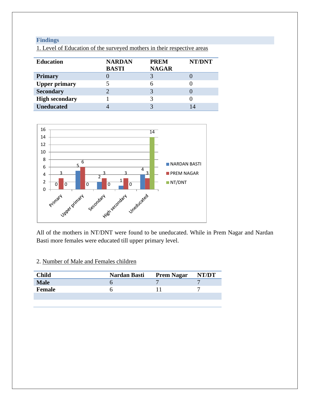## <span id="page-11-0"></span>**Findings**

| <b>Education</b>      | <b>NARDAN</b><br><b>BASTI</b> | <b>PREM</b><br><b>NAGAR</b> | NT/DNT |
|-----------------------|-------------------------------|-----------------------------|--------|
| <b>Primary</b>        |                               |                             |        |
| <b>Upper primary</b>  |                               |                             |        |
| <b>Secondary</b>      |                               |                             |        |
| <b>High secondary</b> |                               |                             |        |
| <b>Uneducated</b>     |                               |                             |        |

1. Level of Education of the surveyed mothers in their respective areas



All of the mothers in NT/DNT were found to be uneducated. While in Prem Nagar and Nardan Basti more females were educated till upper primary level.

## 2. Number of Male and Females children

| <b>Child</b>  | <b>Nardan Basti</b> | <b>Prem Nagar</b> | NT/DT |
|---------------|---------------------|-------------------|-------|
| <b>Male</b>   |                     |                   |       |
| <b>Female</b> |                     |                   |       |
|               |                     |                   |       |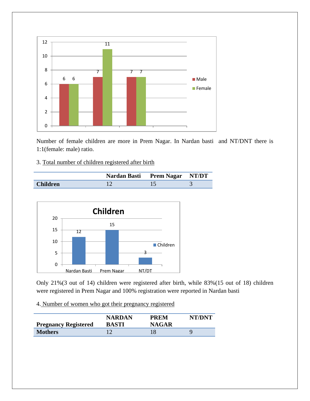

Number of female children are more in Prem Nagar. In Nardan basti and NT/DNT there is 1:1(female: male) ratio.

## 3. Total number of children registered after birth

|                 | Nardan Basti Prem Nagar NT/DT |  |
|-----------------|-------------------------------|--|
| <b>Children</b> |                               |  |



Only 21%(3 out of 14) children were registered after birth, while 83%(15 out of 18) children were registered in Prem Nagar and 100% registration were reported in Nardan basti

4. Number of women who got their pregnancy registered

| <b>Pregnancy Registered</b> | <b>NARDAN</b><br><b>BASTI</b> | <b>PREM</b><br><b>NAGAR</b> | NT/DNT |
|-----------------------------|-------------------------------|-----------------------------|--------|
| <b>Mothers</b>              |                               |                             |        |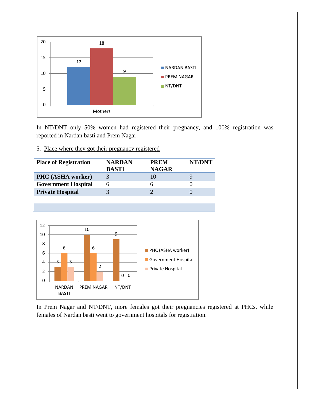

In NT/DNT only 50% women had registered their pregnancy, and 100% registration was reported in Nardan basti and Prem Nagar.

## 5. Place where they got their pregnancy registered

| <b>Place of Registration</b> | <b>NARDAN</b><br><b>BASTI</b> | <b>PREM</b><br><b>NAGAR</b> | NT/DNT |
|------------------------------|-------------------------------|-----------------------------|--------|
| PHC (ASHA worker)            | 3                             | 10                          |        |
| <b>Government Hospital</b>   | h                             |                             |        |
| <b>Private Hospital</b>      |                               |                             |        |
|                              |                               |                             |        |



In Prem Nagar and NT/DNT, more females got their pregnancies registered at PHCs, while females of Nardan basti went to government hospitals for registration.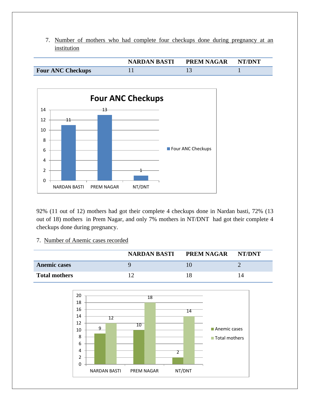7. Number of mothers who had complete four checkups done during pregnancy at an institution

|                          | <b>NARDAN BASTI</b> | <b>PREM NAGAR</b> | <b>NT/DNT</b> |
|--------------------------|---------------------|-------------------|---------------|
| <b>Four ANC Checkups</b> |                     |                   |               |



92% (11 out of 12) mothers had got their complete 4 checkups done in Nardan basti, 72% (13 out of 18) mothers in Prem Nagar, and only 7% mothers in NT/DNT had got their complete 4 checkups done during pregnancy.

#### 7. Number of Anemic cases recorded

|                      | <b>NARDAN BASTI</b> | PREM NAGAR | <b>NT/DNT</b> |
|----------------------|---------------------|------------|---------------|
| <b>Anemic cases</b>  |                     |            |               |
| <b>Total mothers</b> |                     |            |               |

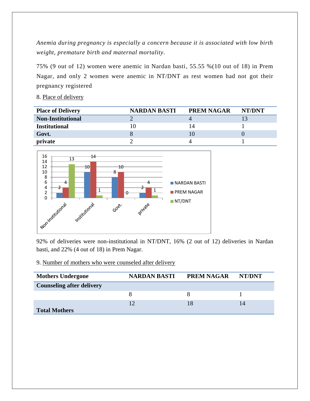*Anemia during pregnancy is especially a concern because it is associated with low birth weight, premature birth and maternal mortality.*

75% (9 out of 12) women were anemic in Nardan basti, 55.55 %(10 out of 18) in Prem Nagar, and only 2 women were anemic in NT/DNT as rest women had not got their pregnancy registered

8. Place of delivery

| <b>Place of Delivery</b> | <b>NARDAN BASTI</b> | <b>PREM NAGAR</b> | NT/DNT |
|--------------------------|---------------------|-------------------|--------|
| <b>Non-Institutional</b> |                     |                   |        |
| <b>Institutional</b>     |                     | 14                |        |
| Govt.                    |                     |                   |        |
| private                  |                     |                   |        |



92% of deliveries were non-institutional in NT/DNT, 16% (2 out of 12) deliveries in Nardan basti, and 22% (4 out of 18) in Prem Nagar.

#### 9. Number of mothers who were counseled after delivery

| <b>Mothers Undergone</b>         | <b>NARDAN BASTI</b> | <b>PREM NAGAR</b> | NT/DNT |
|----------------------------------|---------------------|-------------------|--------|
| <b>Counseling after delivery</b> |                     |                   |        |
|                                  |                     |                   |        |
|                                  | 12                  |                   |        |
| <b>Total Mothers</b>             |                     |                   |        |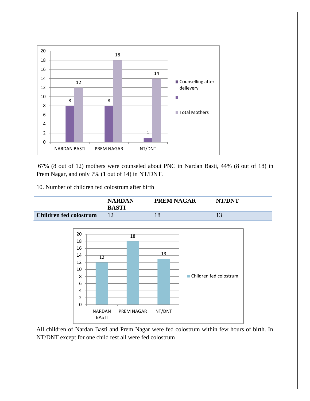

67% (8 out of 12) mothers were counseled about PNC in Nardan Basti, 44% (8 out of 18) in Prem Nagar, and only 7% (1 out of 14) in NT/DNT.

10. Number of children fed colostrum after birth



All children of Nardan Basti and Prem Nagar were fed colostrum within few hours of birth. In NT/DNT except for one child rest all were fed colostrum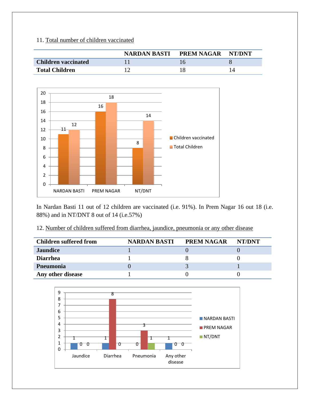## 11. Total number of children vaccinated

|                            | NARDAN BASTI | PREM NAGAR | NT/DNT |
|----------------------------|--------------|------------|--------|
| <b>Children vaccinated</b> |              |            |        |
| <b>Total Children</b>      |              |            |        |



In Nardan Basti 11 out of 12 children are vaccinated (i.e. 91%). In Prem Nagar 16 out 18 (i.e. 88%) and in NT/DNT 8 out of 14 (i.e.57%)

## 12. Number of children suffered from diarrhea, jaundice, pneumonia or any other disease

| <b>Children suffered from</b> | <b>NARDAN BASTI</b> | <b>PREM NAGAR</b> | NT/DNT |
|-------------------------------|---------------------|-------------------|--------|
| <b>Jaundice</b>               |                     |                   |        |
| <b>Diarrhea</b>               |                     |                   |        |
| Pneumonia                     |                     |                   |        |
| Any other disease             |                     |                   |        |

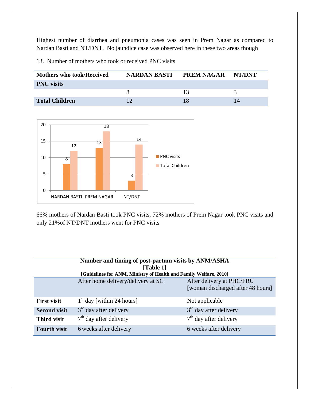Highest number of diarrhea and pneumonia cases was seen in Prem Nagar as compared to Nardan Basti and NT/DNT. No jaundice case was observed here in these two areas though

13. Number of mothers who took or received PNC visits

| <b>Mothers who took/Received</b> | <b>NARDAN BASTI</b> | <b>PREM NAGAR</b> | NT/DNT |
|----------------------------------|---------------------|-------------------|--------|
| <b>PNC</b> visits                |                     |                   |        |
|                                  |                     |                   |        |
| <b>Total Children</b>            |                     |                   |        |



66% mothers of Nardan Basti took PNC visits. 72% mothers of Prem Nagar took PNC visits and only 21%of NT/DNT mothers went for PNC visits

| Number and timing of post-partum visits by ANM/ASHA |                                                                   |                                   |
|-----------------------------------------------------|-------------------------------------------------------------------|-----------------------------------|
| [Table 1]                                           |                                                                   |                                   |
|                                                     | [Guidelines for ANM, Ministry of Health and Family Welfare, 2010] |                                   |
|                                                     | After home delivery/delivery at SC                                | After delivery at PHC/FRU         |
|                                                     |                                                                   | [woman discharged after 48 hours] |
|                                                     |                                                                   |                                   |
| <b>First visit</b>                                  | $1st$ day [within 24 hours]                                       | Not applicable                    |
| <b>Second visit</b>                                 | $3rd$ day after delivery                                          | $3rd$ day after delivery          |
| <b>Third visit</b>                                  | $7th$ day after delivery                                          | $7th$ day after delivery          |
| <b>Fourth visit</b>                                 | 6 weeks after delivery                                            | 6 weeks after delivery            |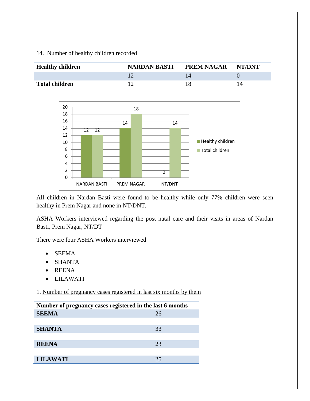## 14. Number of healthy children recorded

| <b>Healthy children</b> | <b>NARDAN BASTI</b> | <b>PREM NAGAR</b> | NT/DNT |
|-------------------------|---------------------|-------------------|--------|
|                         |                     |                   |        |
| <b>Total children</b>   |                     |                   |        |



All children in Nardan Basti were found to be healthy while only 77% children were seen healthy in Prem Nagar and none in NT/DNT.

ASHA Workers interviewed regarding the post natal care and their visits in areas of Nardan Basti, Prem Nagar, NT/DT

There were four ASHA Workers interviewed

- SEEMA
- SHANTA
- REENA
- LILAWATI

1. Number of pregnancy cases registered in last six months by them

| Number of pregnancy cases registered in the last 6 months |    |  |
|-----------------------------------------------------------|----|--|
| <b>SEEMA</b>                                              | 26 |  |
|                                                           |    |  |
| <b>SHANTA</b>                                             | 33 |  |
|                                                           |    |  |
| <b>REENA</b>                                              | 23 |  |
|                                                           |    |  |
| <b>LILAWATI</b>                                           | 25 |  |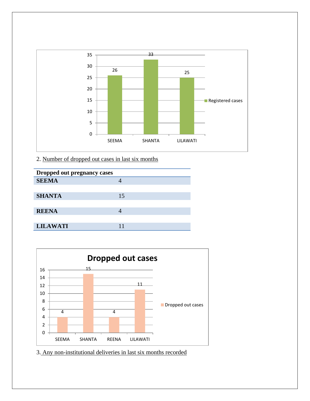

2. Number of dropped out cases in last six months

| Dropped out pregnancy cases |    |  |
|-----------------------------|----|--|
| <b>SEEMA</b>                |    |  |
|                             |    |  |
| <b>SHANTA</b>               | 15 |  |
|                             |    |  |
| <b>REENA</b>                |    |  |
|                             |    |  |
| <b>LILAWATI</b>             |    |  |



3. Any non-institutional deliveries in last six months recorded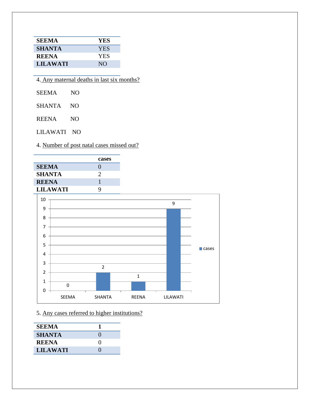| <b>SEEMA</b>    | <b>YES</b> |
|-----------------|------------|
| <b>SHANTA</b>   | <b>YES</b> |
| <b>REENA</b>    | <b>YES</b> |
| <b>LILAWATI</b> | NO.        |

| 4. Any maternal deaths in last six months? |
|--------------------------------------------|
|--------------------------------------------|

| <b>SEEMA</b> | NO |
|--------------|----|
|              |    |

SHANTA NO

REENA NO

LILAWATI NO

4. Number of post natal cases missed out?

|                 | cases             |
|-----------------|-------------------|
| <b>SEEMA</b>    | $\mathbf{\Omega}$ |
| <b>SHANTA</b>   | 2                 |
| <b>REENA</b>    |                   |
| <b>LILAWATI</b> | Q                 |



5. Any cases referred to higher institutions?

| <b>SEEMA</b>    |                   |
|-----------------|-------------------|
| <b>SHANTA</b>   |                   |
| <b>REENA</b>    | $\mathbf{\Omega}$ |
| <b>LILAWATI</b> | $\mathbf{\Omega}$ |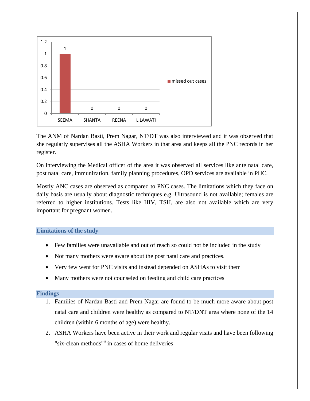

The ANM of Nardan Basti, Prem Nagar, NT/DT was also interviewed and it was observed that she regularly supervises all the ASHA Workers in that area and keeps all the PNC records in her register.

On interviewing the Medical officer of the area it was observed all services like ante natal care, post natal care, immunization, family planning procedures, OPD services are available in PHC.

Mostly ANC cases are observed as compared to PNC cases. The limitations which they face on daily basis are usually about diagnostic techniques e.g. Ultrasound is not available; females are referred to higher institutions. Tests like HIV, TSH, are also not available which are very important for pregnant women.

#### <span id="page-22-0"></span>**Limitations of the study**

- Few families were unavailable and out of reach so could not be included in the study
- Not many mothers were aware about the post natal care and practices.
- Very few went for PNC visits and instead depended on ASHAs to visit them
- Many mothers were not counseled on feeding and child care practices

#### <span id="page-22-1"></span>**Findings**

- 1. Families of Nardan Basti and Prem Nagar are found to be much more aware about post natal care and children were healthy as compared to NT/DNT area where none of the 14 children (within 6 months of age) were healthy.
- 2. ASHA Workers have been active in their work and regular visits and have been following "six-clean methods"<sup>ii</sup> in cases of home deliveries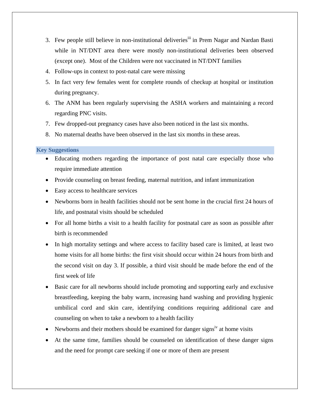- 3. Few people still believe in non-institutional deliveries<sup>iii</sup> in Prem Nagar and Nardan Basti while in NT/DNT area there were mostly non-institutional deliveries been observed (except one). Most of the Children were not vaccinated in NT/DNT families
- 4. Follow-ups in context to post-natal care were missing
- 5. In fact very few females went for complete rounds of checkup at hospital or institution during pregnancy.
- 6. The ANM has been regularly supervising the ASHA workers and maintaining a record regarding PNC visits.
- 7. Few dropped-out pregnancy cases have also been noticed in the last six months.
- 8. No maternal deaths have been observed in the last six months in these areas.

#### <span id="page-23-0"></span>**Key Suggestions**

- Educating mothers regarding the importance of post natal care especially those who require immediate attention
- Provide counseling on breast feeding, maternal nutrition, and infant immunization
- Easy access to healthcare services
- Newborns born in health facilities should not be sent home in the crucial first 24 hours of life, and postnatal visits should be scheduled
- For all home births a visit to a health facility for postnatal care as soon as possible after birth is recommended
- In high mortality settings and where access to facility based care is limited, at least two home visits for all home births: the first visit should occur within 24 hours from birth and the second visit on day 3. If possible, a third visit should be made before the end of the first week of life
- Basic care for all newborns should include promoting and supporting early and exclusive breastfeeding, keeping the baby warm, increasing hand washing and providing hygienic umbilical cord and skin care, identifying conditions requiring additional care and counseling on when to take a newborn to a health facility
- Newborns and their mothers should be examined for danger signs<sup> $v$ </sup> at home visits
- At the same time, families should be counseled on identification of these danger signs and the need for prompt care seeking if one or more of them are present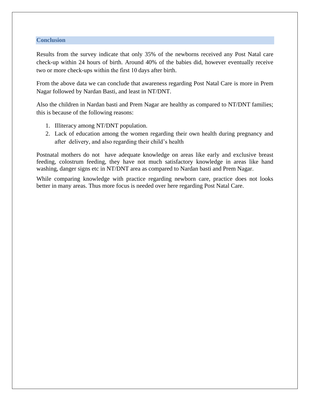#### <span id="page-24-0"></span>**Conclusion**

Results from the survey indicate that only 35% of the newborns received any Post Natal care check-up within 24 hours of birth. Around 40% of the babies did, however eventually receive two or more check-ups within the first 10 days after birth.

From the above data we can conclude that awareness regarding Post Natal Care is more in Prem Nagar followed by Nardan Basti, and least in NT/DNT.

Also the children in Nardan basti and Prem Nagar are healthy as compared to NT/DNT families; this is because of the following reasons:

- 1. Illiteracy among NT/DNT population.
- 2. Lack of education among the women regarding their own health during pregnancy and after delivery, and also regarding their child's health

Postnatal mothers do not have adequate knowledge on areas like early and exclusive breast feeding, colostrum feeding, they have not much satisfactory knowledge in areas like hand washing, danger signs etc in NT/DNT area as compared to Nardan basti and Prem Nagar.

<span id="page-24-1"></span>While comparing knowledge with practice regarding newborn care, practice does not looks better in many areas. Thus more focus is needed over here regarding Post Natal Care.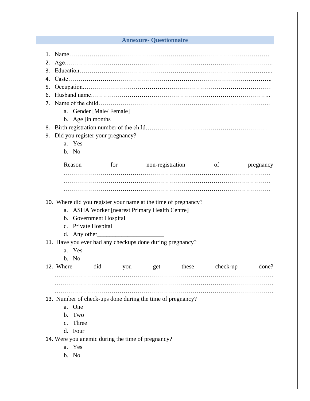## **Annexure- Questionnaire**

| 2. |                                                                |     |              |                                                            |                         |           |
|----|----------------------------------------------------------------|-----|--------------|------------------------------------------------------------|-------------------------|-----------|
|    |                                                                |     |              |                                                            |                         |           |
| 4. |                                                                |     |              |                                                            |                         |           |
| 5. |                                                                |     |              |                                                            |                         |           |
| 6. |                                                                |     |              |                                                            |                         |           |
|    |                                                                |     |              |                                                            |                         |           |
|    | a. Gender [Male/Female]                                        |     |              |                                                            |                         |           |
|    | b. Age [in months]                                             |     |              |                                                            |                         |           |
|    |                                                                |     |              |                                                            |                         |           |
| 9. | Did you register your pregnancy?                               |     |              |                                                            |                         |           |
|    | a. Yes                                                         |     |              |                                                            |                         |           |
|    | b. No                                                          |     |              |                                                            |                         |           |
|    | Reason                                                         |     |              |                                                            | for non-registration of | pregnancy |
|    |                                                                |     |              |                                                            |                         |           |
|    |                                                                |     |              |                                                            |                         |           |
|    |                                                                |     |              |                                                            |                         |           |
|    |                                                                |     |              |                                                            |                         |           |
|    | 10. Where did you register your name at the time of pregnancy? |     |              |                                                            |                         |           |
|    |                                                                |     |              |                                                            |                         |           |
|    |                                                                |     |              | a. ASHA Worker [nearest Primary Health Centre]             |                         |           |
|    | b. Government Hospital                                         |     |              |                                                            |                         |           |
|    | c. Private Hospital                                            |     |              |                                                            |                         |           |
|    |                                                                |     | d. Any other |                                                            |                         |           |
|    |                                                                |     |              | 11. Have you ever had any checkups done during pregnancy?  |                         |           |
|    | a. Yes                                                         |     |              |                                                            |                         |           |
|    | b. No                                                          |     |              |                                                            |                         |           |
|    | 12. Where                                                      | did | you          | get these                                                  | check-up                | done?     |
|    |                                                                |     |              |                                                            |                         |           |
|    |                                                                |     |              |                                                            |                         |           |
|    |                                                                |     |              |                                                            |                         |           |
|    |                                                                |     |              | 13. Number of check-ups done during the time of pregnancy? |                         |           |
|    | a. One<br>b. Two                                               |     |              |                                                            |                         |           |
|    | c. Three                                                       |     |              |                                                            |                         |           |
|    | d. Four                                                        |     |              |                                                            |                         |           |
|    |                                                                |     |              |                                                            |                         |           |
|    | 14. Were you anemic during the time of pregnancy?<br>a. Yes    |     |              |                                                            |                         |           |
|    | b. No                                                          |     |              |                                                            |                         |           |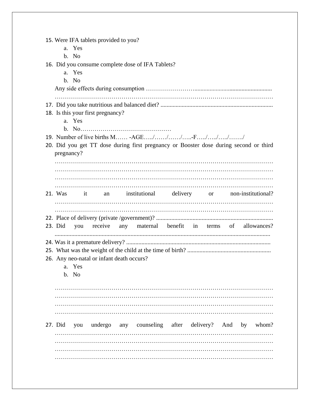| 15. Were IFA tablets provided to you?<br>a. Yes<br>b. No<br>16. Did you consume complete dose of IFA Tablets?<br>a. Yes<br>b. No                |  |
|-------------------------------------------------------------------------------------------------------------------------------------------------|--|
| 18. Is this your first pregnancy?<br>a. Yes                                                                                                     |  |
| 19. Number of live births M -AGE///F////<br>20. Did you get TT dose during first pregnancy or Booster dose during second or third<br>pregnancy? |  |
| 21. Was it<br>an institutional delivery or non-institutional?                                                                                   |  |
| any maternal benefit in terms of allowances?<br>23. Did<br>receive<br>you<br>26. Any neo-natal or infant death occurs?<br>a. Yes<br>b. No       |  |
|                                                                                                                                                 |  |
| undergo any counseling after delivery? And by whom?<br>27. Did you                                                                              |  |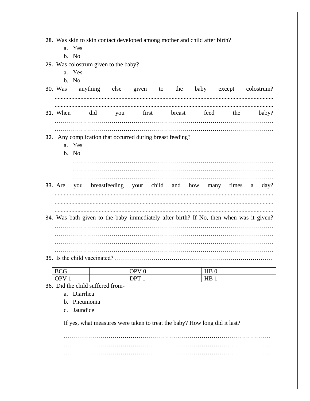28. Was skin to skin contact developed among mother and child after birth?

- a. Yes
- $h. No$

29. Was colostrum given to the baby?

- a. Yes
- b. No

|          |     |            |              |  |      |     | 30. Was anything else given to the baby except colostrum? |
|----------|-----|------------|--------------|--|------|-----|-----------------------------------------------------------|
| 31. When | did | <b>VOU</b> | first breast |  | feed | the | baby?                                                     |
|          |     |            |              |  |      |     |                                                           |

#### 32. Any complication that occurred during breast feeding?

- a. Yes
- b. No
- 33. Are your you breastfeeding child and how many times a  $day?$ 34. Was bath given to the baby immediately after birth? If No, then when was it given?

#### 

| <b>BCG</b><br>$\sim$ | OPVf         | $\mathbf{v}$<br>. .<br>$\mathbf{L}$ |  |
|----------------------|--------------|-------------------------------------|--|
| $\mathbf{p}$<br>vı   | $\mathbf{D}$ | UР<br>11D                           |  |

- 36. Did the child suffered from
	- a Diarrhea
	- **h** Pneumonia
	- c. Jaundice

If yes, what measures were taken to treat the baby? How long did it last?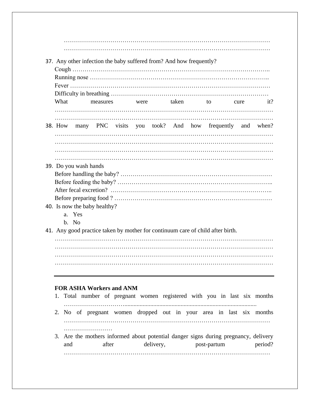| What |                                 | measures |  | were taken |  |                                                                                |      | it? |
|------|---------------------------------|----------|--|------------|--|--------------------------------------------------------------------------------|------|-----|
|      |                                 |          |  |            |  | to to                                                                          | cure |     |
|      |                                 |          |  |            |  | 38. How many PNC visits you took? And how frequently and when?                 |      |     |
|      |                                 |          |  |            |  |                                                                                |      |     |
|      |                                 |          |  |            |  |                                                                                |      |     |
|      | 39. Do you wash hands           |          |  |            |  |                                                                                |      |     |
|      |                                 |          |  |            |  |                                                                                |      |     |
|      |                                 |          |  |            |  |                                                                                |      |     |
|      |                                 |          |  |            |  |                                                                                |      |     |
|      |                                 |          |  |            |  |                                                                                |      |     |
|      |                                 |          |  |            |  |                                                                                |      |     |
|      | 40. Is now the baby healthy?    |          |  |            |  |                                                                                |      |     |
|      | a. Yes                          |          |  |            |  |                                                                                |      |     |
|      | b. No                           |          |  |            |  |                                                                                |      |     |
|      |                                 |          |  |            |  | 41. Any good practice taken by mother for continuum care of child after birth. |      |     |
|      |                                 |          |  |            |  |                                                                                |      |     |
|      |                                 |          |  |            |  |                                                                                |      |     |
|      |                                 |          |  |            |  |                                                                                |      |     |
|      |                                 |          |  |            |  |                                                                                |      |     |
|      |                                 |          |  |            |  |                                                                                |      |     |
|      |                                 |          |  |            |  |                                                                                |      |     |
|      | <b>FOR ASHA Workers and ANM</b> |          |  |            |  |                                                                                |      |     |
| 1.   |                                 |          |  |            |  | Total number of pregnant women registered with you in last six months          |      |     |
|      |                                 |          |  |            |  | 2. No of pregnant women dropped out in your area in last six months            |      |     |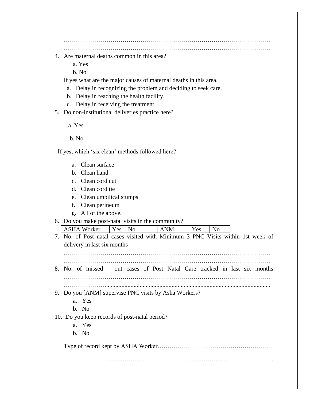………………………………………………………………………………………… …………………………………………………………………………………………

- 4. Are maternal deaths common in this area?
	- a. Yes

b. No

If yes what are the major causes of maternal deaths in this area,

- a. Delay in recognizing the problem and deciding to seek care.
- b. Delay in reaching the health facility.
- c. Delay in receiving the treatment.

5. Do non-institutional deliveries practice here?

- a. Yes
- b. No

If yes, which 'six clean' methods followed here?

- a. Clean surface
- b. Clean hand
- c. Clean cord cut
- d. Clean cord tie
- e. Clean umbilical stumps
- f. Clean perineum
- g. All of the above.

6. Do you make post-natal visits in the community?

ASHA Worker | Yes | No | ANM | Yes | No 7. No. of Post natal cases visited with Minimum 3 PNC Visits within 1st week of delivery in last six months ………………………………………………………………………………………… ………………………………………………………………………………………… 8. No. of missed – out cases of Post Natal Care tracked in last six months ………………………………………………………………………………………… …………………............................................................................................................ 9. Do you [ANM] supervise PNC visits by Asha Workers? a. Yes b. No 10. Do you keep records of post-natal period? a. Yes b. No

Type of record kept by ASHA Worker…………………………………………………

…………………………………………………………………………………………..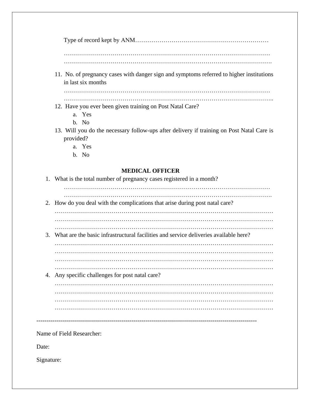Type of record kept by ANM………………………………………………………… ………………………………………………………………………………………… …………………………………………………………………………………………. 11. No. of pregnancy cases with danger sign and symptoms referred to higher institutions in last six months ………………………………………………………………………………………… ………………………………………………………………………………………….. 12. Have you ever been given training on Post Natal Care? a. Yes b. No 13. Will you do the necessary follow-ups after delivery if training on Post Natal Care is provided? a. Yes b. No  **MEDICAL OFFICER** 1. What is the total number of pregnancy cases registered in a month? ………………………………………………………………………………………… …………………………………………………………………………………………. 2. How do you deal with the complications that arise during post natal care? ……………………………………………………………………………………………… ……………………………………………………………………………………………… 3. What are the basic infrastructural facilities and service deliveries available here? ……………………………………………………………………………………………… ……………………………………………………………………………………………… ……………………………………………………………………………………………… ……………………………………………………………………………………………… 4. Any specific challenges for post natal care? ……………………………………………………………………………………………… ……………………………………………………………………………………………… ……………………………………………………………………………………………… ……………………………………………………………………………………………… ------------------------------------------------------------------------------------------------------------- Name of Field Researcher: Date: Signature: